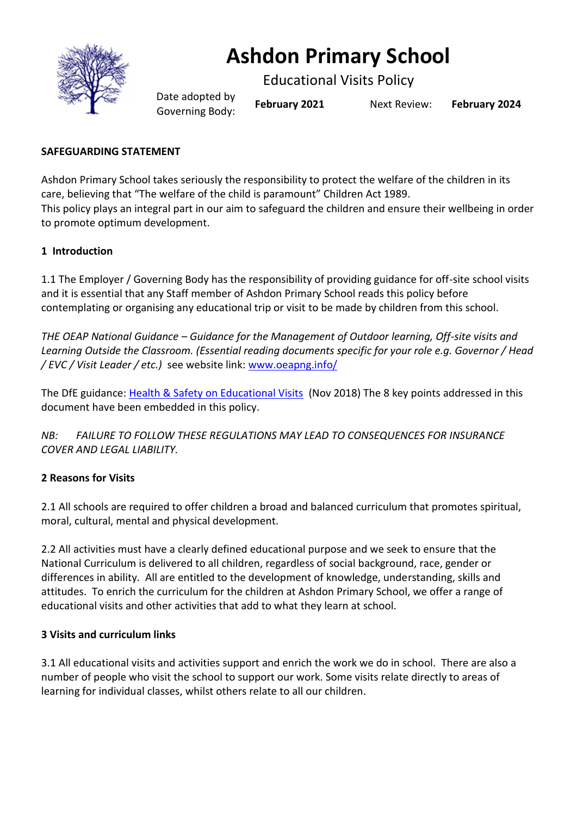

# **Ashdon Primary School**

Educational Visits Policy

Date adopted by Governing Body: **February <sup>2021</sup>** Next Review: **February <sup>2024</sup>**

# **SAFEGUARDING STATEMENT**

Ashdon Primary School takes seriously the responsibility to protect the welfare of the children in its care, believing that "The welfare of the child is paramount" Children Act 1989. This policy plays an integral part in our aim to safeguard the children and ensure their wellbeing in order to promote optimum development.

# **1 Introduction**

1.1 The Employer / Governing Body has the responsibility of providing guidance for off-site school visits and it is essential that any Staff member of Ashdon Primary School reads this policy before contemplating or organising any educational trip or visit to be made by children from this school.

*THE OEAP National Guidance – Guidance for the Management of Outdoor learning, Off-site visits and Learning Outside the Classroom. (Essential reading documents specific for your role e.g. Governor / Head / EVC / Visit Leader / etc.)* see website link: [www.oeapng.info/](http://www.oeapng.info/) 

The DfE guidance: [Health & Safety on Educational Visits](https://www.gov.uk/government/publications/health-and-safety-on-educational-visits/health-and-safety-on-educational-visits) (Nov 2018) The 8 key points addressed in this document have been embedded in this policy.

*NB: FAILURE TO FOLLOW THESE REGULATIONS MAY LEAD TO CONSEQUENCES FOR INSURANCE COVER AND LEGAL LIABILITY.*

# **2 Reasons for Visits**

2.1 All schools are required to offer children a broad and balanced curriculum that promotes spiritual, moral, cultural, mental and physical development.

2.2 All activities must have a clearly defined educational purpose and we seek to ensure that the National Curriculum is delivered to all children, regardless of social background, race, gender or differences in ability. All are entitled to the development of knowledge, understanding, skills and attitudes. To enrich the curriculum for the children at Ashdon Primary School, we offer a range of educational visits and other activities that add to what they learn at school.

# **3 Visits and curriculum links**

3.1 All educational visits and activities support and enrich the work we do in school. There are also a number of people who visit the school to support our work. Some visits relate directly to areas of learning for individual classes, whilst others relate to all our children.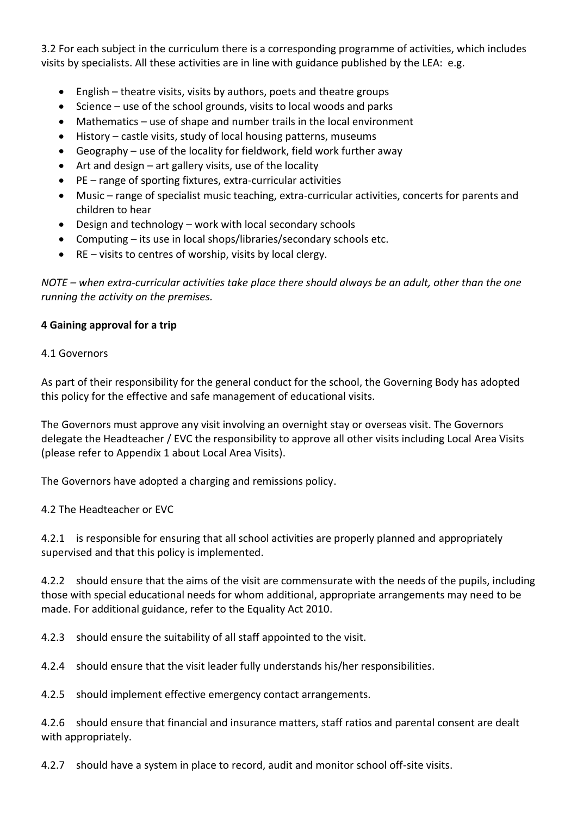3.2 For each subject in the curriculum there is a corresponding programme of activities, which includes visits by specialists. All these activities are in line with guidance published by the LEA: e.g.

- English theatre visits, visits by authors, poets and theatre groups
- Science use of the school grounds, visits to local woods and parks
- Mathematics use of shape and number trails in the local environment
- History castle visits, study of local housing patterns, museums
- Geography use of the locality for fieldwork, field work further away
- Art and design  $-$  art gallery visits, use of the locality
- PE range of sporting fixtures, extra-curricular activities
- Music range of specialist music teaching, extra-curricular activities, concerts for parents and children to hear
- Design and technology work with local secondary schools
- Computing its use in local shops/libraries/secondary schools etc.
- RE visits to centres of worship, visits by local clergy.

*NOTE – when extra-curricular activities take place there should always be an adult, other than the one running the activity on the premises.*

# **4 Gaining approval for a trip**

#### 4.1 Governors

As part of their responsibility for the general conduct for the school, the Governing Body has adopted this policy for the effective and safe management of educational visits.

The Governors must approve any visit involving an overnight stay or overseas visit. The Governors delegate the Headteacher / EVC the responsibility to approve all other visits including Local Area Visits (please refer to Appendix 1 about Local Area Visits).

The Governors have adopted a charging and remissions policy.

4.2 The Headteacher or EVC

4.2.1 is responsible for ensuring that all school activities are properly planned and appropriately supervised and that this policy is implemented.

4.2.2 should ensure that the aims of the visit are commensurate with the needs of the pupils, including those with special educational needs for whom additional, appropriate arrangements may need to be made. For additional guidance, refer to the Equality Act 2010.

4.2.3 should ensure the suitability of all staff appointed to the visit.

4.2.4 should ensure that the visit leader fully understands his/her responsibilities.

4.2.5 should implement effective emergency contact arrangements.

4.2.6 should ensure that financial and insurance matters, staff ratios and parental consent are dealt with appropriately.

4.2.7 should have a system in place to record, audit and monitor school off-site visits.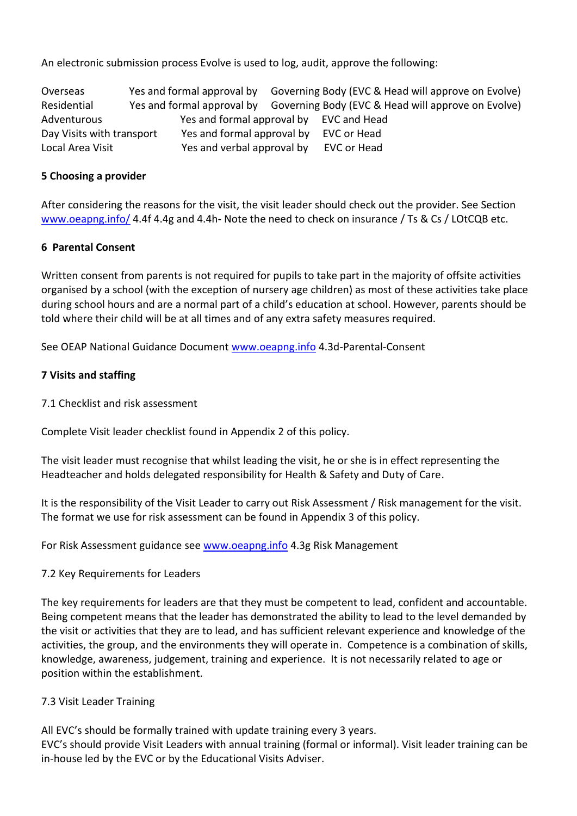An electronic submission process Evolve is used to log, audit, approve the following:

Overseas Yes and formal approval by Governing Body (EVC & Head will approve on Evolve) Residential Yes and formal approval by Governing Body (EVC & Head will approve on Evolve) Adventurous Yes and formal approval by EVC and Head Day Visits with transport Yes and formal approval by EVC or Head Local Area Visit Yes and verbal approval by EVC or Head

# **5 Choosing a provider**

After considering the reasons for the visit, the visit leader should check out the provider. See Section [www.oeapng.info/](http://www.oeapng.info/) 4.4f 4.4g and 4.4h- Note the need to check on insurance / Ts & Cs / LOtCQB etc.

#### **6 Parental Consent**

Written consent from parents is not required for pupils to take part in the majority of offsite activities organised by a school (with the exception of nursery age children) as most of these activities take place during school hours and are a normal part of a child's education at school. However, parents should be told where their child will be at all times and of any extra safety measures required.

See OEAP National Guidance Document [www.oeapng.info](http://www.oeapng.info/) 4.3d-Parental-Consent

#### **7 Visits and staffing**

7.1 Checklist and risk assessment

Complete Visit leader checklist found in Appendix 2 of this policy.

The visit leader must recognise that whilst leading the visit, he or she is in effect representing the Headteacher and holds delegated responsibility for Health & Safety and Duty of Care.

It is the responsibility of the Visit Leader to carry out Risk Assessment / Risk management for the visit. The format we use for risk assessment can be found in Appendix 3 of this policy.

For Risk Assessment guidance see [www.oeapng.info](http://www.oeapng.info/) 4.3g Risk Management

#### 7.2 Key Requirements for Leaders

The key requirements for leaders are that they must be competent to lead, confident and accountable. Being competent means that the leader has demonstrated the ability to lead to the level demanded by the visit or activities that they are to lead, and has sufficient relevant experience and knowledge of the activities, the group, and the environments they will operate in. Competence is a combination of skills, knowledge, awareness, judgement, training and experience. It is not necessarily related to age or position within the establishment.

#### 7.3 Visit Leader Training

All EVC's should be formally trained with update training every 3 years. EVC's should provide Visit Leaders with annual training (formal or informal). Visit leader training can be in-house led by the EVC or by the Educational Visits Adviser.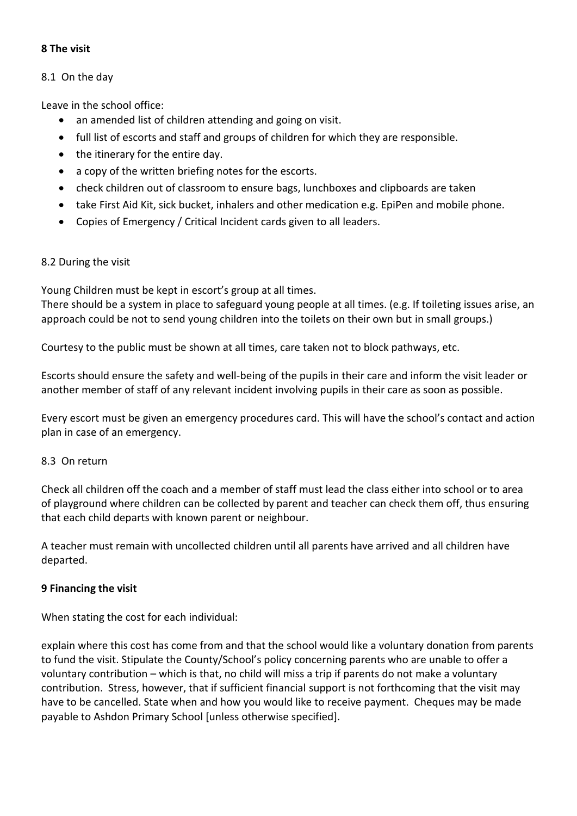# **8 The visit**

#### 8.1 On the day

Leave in the school office:

- an amended list of children attending and going on visit.
- full list of escorts and staff and groups of children for which they are responsible.
- the itinerary for the entire day.
- a copy of the written briefing notes for the escorts.
- check children out of classroom to ensure bags, lunchboxes and clipboards are taken
- take First Aid Kit, sick bucket, inhalers and other medication e.g. EpiPen and mobile phone.
- Copies of Emergency / Critical Incident cards given to all leaders.

#### 8.2 During the visit

Young Children must be kept in escort's group at all times.

There should be a system in place to safeguard young people at all times. (e.g. If toileting issues arise, an approach could be not to send young children into the toilets on their own but in small groups.)

Courtesy to the public must be shown at all times, care taken not to block pathways, etc.

Escorts should ensure the safety and well-being of the pupils in their care and inform the visit leader or another member of staff of any relevant incident involving pupils in their care as soon as possible.

Every escort must be given an emergency procedures card. This will have the school's contact and action plan in case of an emergency.

#### 8.3 On return

Check all children off the coach and a member of staff must lead the class either into school or to area of playground where children can be collected by parent and teacher can check them off, thus ensuring that each child departs with known parent or neighbour.

A teacher must remain with uncollected children until all parents have arrived and all children have departed.

#### **9 Financing the visit**

When stating the cost for each individual:

explain where this cost has come from and that the school would like a voluntary donation from parents to fund the visit. Stipulate the County/School's policy concerning parents who are unable to offer a voluntary contribution – which is that, no child will miss a trip if parents do not make a voluntary contribution. Stress, however, that if sufficient financial support is not forthcoming that the visit may have to be cancelled. State when and how you would like to receive payment. Cheques may be made payable to Ashdon Primary School [unless otherwise specified].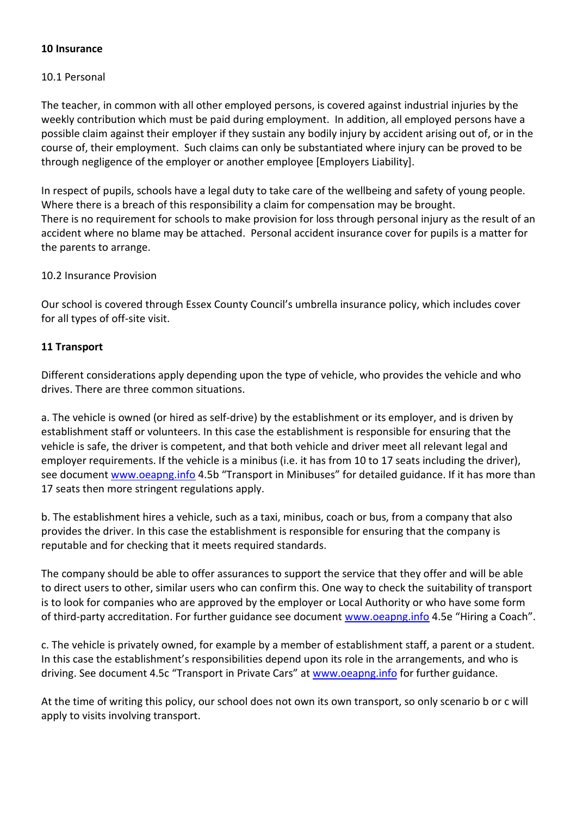#### **10 Insurance**

# 10.1 Personal

The teacher, in common with all other employed persons, is covered against industrial injuries by the weekly contribution which must be paid during employment. In addition, all employed persons have a possible claim against their employer if they sustain any bodily injury by accident arising out of, or in the course of, their employment. Such claims can only be substantiated where injury can be proved to be through negligence of the employer or another employee [Employers Liability].

In respect of pupils, schools have a legal duty to take care of the wellbeing and safety of young people. Where there is a breach of this responsibility a claim for compensation may be brought. There is no requirement for schools to make provision for loss through personal injury as the result of an accident where no blame may be attached. Personal accident insurance cover for pupils is a matter for the parents to arrange.

#### 10.2 Insurance Provision

Our school is covered through Essex County Council's umbrella insurance policy, which includes cover for all types of off-site visit.

#### **11 Transport**

Different considerations apply depending upon the type of vehicle, who provides the vehicle and who drives. There are three common situations.

a. The vehicle is owned (or hired as self-drive) by the establishment or its employer, and is driven by establishment staff or volunteers. In this case the establishment is responsible for ensuring that the vehicle is safe, the driver is competent, and that both vehicle and driver meet all relevant legal and employer requirements. If the vehicle is a minibus (i.e. it has from 10 to 17 seats including the driver), see document [www.oeapng.info](http://www.oeapng.info/) 4.5b "Transport in Minibuses" for detailed guidance. If it has more than 17 seats then more stringent regulations apply.

b. The establishment hires a vehicle, such as a taxi, minibus, coach or bus, from a company that also provides the driver. In this case the establishment is responsible for ensuring that the company is reputable and for checking that it meets required standards.

The company should be able to offer assurances to support the service that they offer and will be able to direct users to other, similar users who can confirm this. One way to check the suitability of transport is to look for companies who are approved by the employer or Local Authority or who have some form of third-party accreditation. For further guidance see document [www.oeapng.info](http://www.oeapng.info/) 4.5e "Hiring a Coach".

c. The vehicle is privately owned, for example by a member of establishment staff, a parent or a student. In this case the establishment's responsibilities depend upon its role in the arrangements, and who is driving. See document 4.5c "Transport in Private Cars" at [www.oeapng.info](http://www.oeapng.info/) for further guidance.

At the time of writing this policy, our school does not own its own transport, so only scenario b or c will apply to visits involving transport.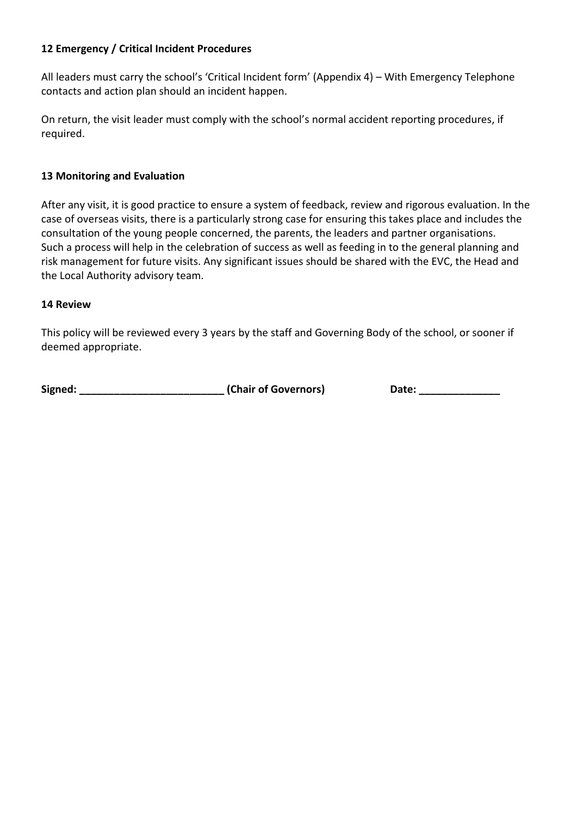# **12 Emergency / Critical Incident Procedures**

All leaders must carry the school's 'Critical Incident form' (Appendix 4) – With Emergency Telephone contacts and action plan should an incident happen.

On return, the visit leader must comply with the school's normal accident reporting procedures, if required.

#### **13 Monitoring and Evaluation**

After any visit, it is good practice to ensure a system of feedback, review and rigorous evaluation. In the case of overseas visits, there is a particularly strong case for ensuring this takes place and includes the consultation of the young people concerned, the parents, the leaders and partner organisations. Such a process will help in the celebration of success as well as feeding in to the general planning and risk management for future visits. Any significant issues should be shared with the EVC, the Head and the Local Authority advisory team.

#### **14 Review**

This policy will be reviewed every 3 years by the staff and Governing Body of the school, or sooner if deemed appropriate.

| Signed: | (Chair of Governors |
|---------|---------------------|
|---------|---------------------|

**Signed: \_\_\_\_\_\_\_\_\_\_\_\_\_\_\_\_\_\_\_\_\_\_\_\_\_ (Chair of Governors) Date: \_\_\_\_\_\_\_\_\_\_\_\_\_\_**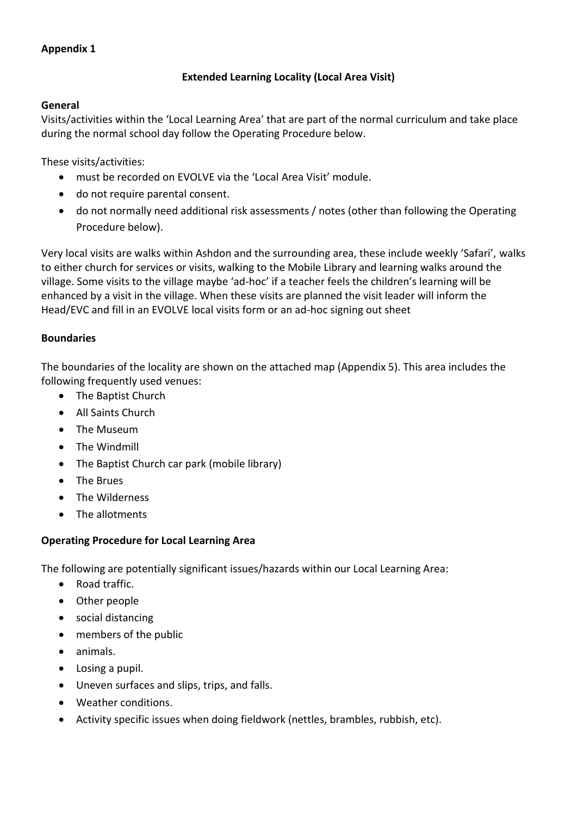# **Appendix 1**

# **Extended Learning Locality (Local Area Visit)**

## **General**

Visits/activities within the 'Local Learning Area' that are part of the normal curriculum and take place during the normal school day follow the Operating Procedure below.

These visits/activities:

- must be recorded on EVOLVE via the 'Local Area Visit' module.
- do not require parental consent.
- do not normally need additional risk assessments / notes (other than following the Operating Procedure below).

Very local visits are walks within Ashdon and the surrounding area, these include weekly 'Safari', walks to either church for services or visits, walking to the Mobile Library and learning walks around the village. Some visits to the village maybe 'ad-hoc' if a teacher feels the children's learning will be enhanced by a visit in the village. When these visits are planned the visit leader will inform the Head/EVC and fill in an EVOLVE local visits form or an ad-hoc signing out sheet

# **Boundaries**

The boundaries of the locality are shown on the attached map (Appendix 5). This area includes the following frequently used venues:

- The Baptist Church
- All Saints Church
- The Museum
- The Windmill
- The Baptist Church car park (mobile library)
- The Brues
- The Wilderness
- The allotments

# **Operating Procedure for Local Learning Area**

The following are potentially significant issues/hazards within our Local Learning Area:

- Road traffic.
- Other people
- social distancing
- members of the public
- animals.
- Losing a pupil.
- Uneven surfaces and slips, trips, and falls.
- Weather conditions.
- Activity specific issues when doing fieldwork (nettles, brambles, rubbish, etc).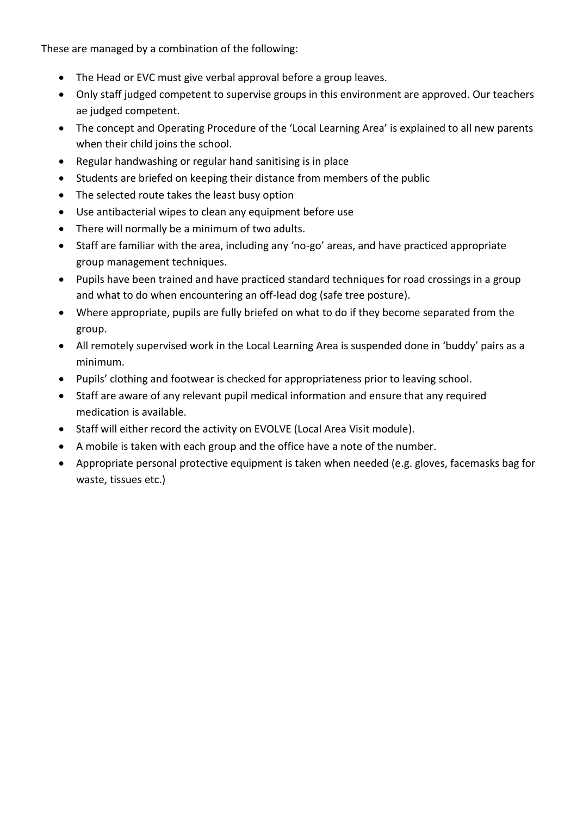These are managed by a combination of the following:

- The Head or EVC must give verbal approval before a group leaves.
- Only staff judged competent to supervise groups in this environment are approved. Our teachers ae judged competent.
- The concept and Operating Procedure of the 'Local Learning Area' is explained to all new parents when their child joins the school.
- Regular handwashing or regular hand sanitising is in place
- Students are briefed on keeping their distance from members of the public
- The selected route takes the least busy option
- Use antibacterial wipes to clean any equipment before use
- There will normally be a minimum of two adults.
- Staff are familiar with the area, including any 'no-go' areas, and have practiced appropriate group management techniques.
- Pupils have been trained and have practiced standard techniques for road crossings in a group and what to do when encountering an off-lead dog (safe tree posture).
- Where appropriate, pupils are fully briefed on what to do if they become separated from the group.
- All remotely supervised work in the Local Learning Area is suspended done in 'buddy' pairs as a minimum.
- Pupils' clothing and footwear is checked for appropriateness prior to leaving school.
- Staff are aware of any relevant pupil medical information and ensure that any required medication is available.
- Staff will either record the activity on EVOLVE (Local Area Visit module).
- A mobile is taken with each group and the office have a note of the number.
- Appropriate personal protective equipment is taken when needed (e.g. gloves, facemasks bag for waste, tissues etc.)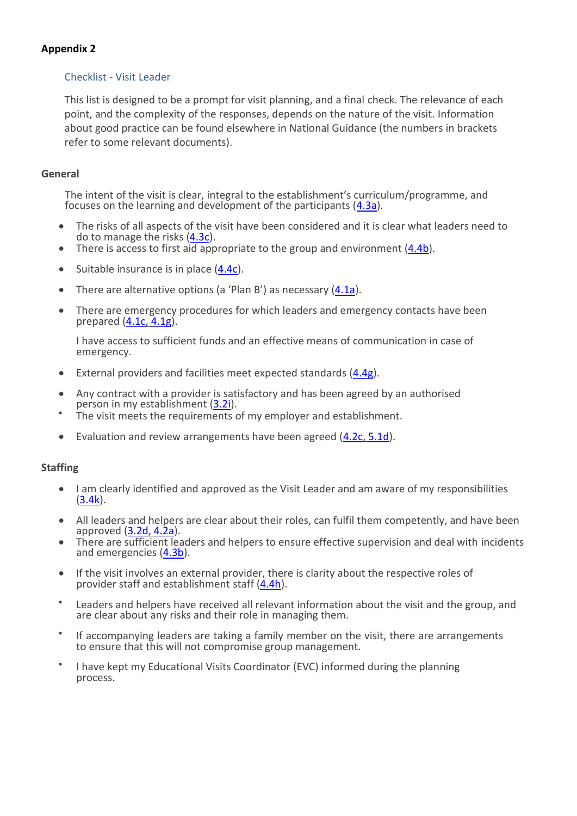# **Appendix 2**

# Checklist - Visit Leader

This list is designed to be a prompt for visit planning, and a final check. The relevance of each point, and the complexity of the responses, depends on the nature of the visit. Information about good practice can be found elsewhere in National Guidance (the numbers in brackets refer to some relevant documents).

#### **General**

The intent of the visit is clear, integral to the establishment's curriculum/programme, and focuses on the learning and development of the participants  $(4.3a)$ .

- The risks of all aspects of the visit have been considered and it is clear what leaders need to do to manage the risks [\(4.3c\)](https://oeapng.info/downloads/download-info/4-3c-risk-management).
- There is access to first aid appropriate to the group and environment [\(4.4b\)](https://oeapng.info/downloads/download-info/4-4b-first-aid).
- Suitable insurance is in place [\(4.4c\)](https://oeapng.info/downloads/download-info/4-4c-insurance/).
- There are alternative options (a 'Plan B') as necessary [\(4.1a\)](https://oeapng.info/downloads/download-info/4-1a-avoiding-accidents-and-emergencies/).
- There are emergency procedures for which leaders and emergency contacts have been prepared [\(4.1c,](https://oeapng.info/downloads/download-info/4-1c-emergency-procedures-for-visit-leaders/) [4.1g\)](https://oeapng.info/downloads/download-info/4-1g-model-emergency-procedures-for-visit-leaders/).

I have access to sufficient funds and an effective means of communication in case of emergency.

- External providers and facilities meet expected standards [\(4.4g\)](https://oeapng.info/downloads/download-info/4-4g-selecting-external-providers-and-facilities/).
- Any contract with a provider is satisfactory and has been agreed by an authorised person in my establishment [\(3.2i\)](https://oeapng.info/downloads/download-info/3-2i-contracts-and-waivers).
- The visit meets the requirements of my employer and establishment.
- Evaluation and review arrangements have been agreed [\(4.2c,](https://oeapng.info/downloads/download-info/4-2c-reviewing/) [5.1d\)](https://oeapng.info/downloads/download-info/5-1d-evaluation/).

#### **Staffing**

- I am clearly identified and approved as the Visit Leader and am aware of my responsibilities  $(3.4k)$ .
- All leaders and helpers are clear about their roles, can fulfil them competently, and have been approved  $(3.2d, 4.2a)$  $(3.2d, 4.2a)$ .
- There are sufficient leaders and helpers to ensure effective supervision and deal with incidents and emergencies [\(4.3b\)](https://oeapng.info/downloads/download-info/4-3b-ratios-and-effective-supervision).
- If the visit involves an external provider, there is clarity about the respective roles of provider staff and establishment staff [\(4.4h\)](https://oeapng.info/downloads/download-info/4-4h-preliminary-visits-and-provider-assurances).
- Leaders and helpers have received all relevant information about the visit and the group, and are clear about any risks and their role in managing them.
- If accompanying leaders are taking a family member on the visit, there are arrangements to ensure that this will not compromise group management.
- I have kept my Educational Visits Coordinator (EVC) informed during the planning process.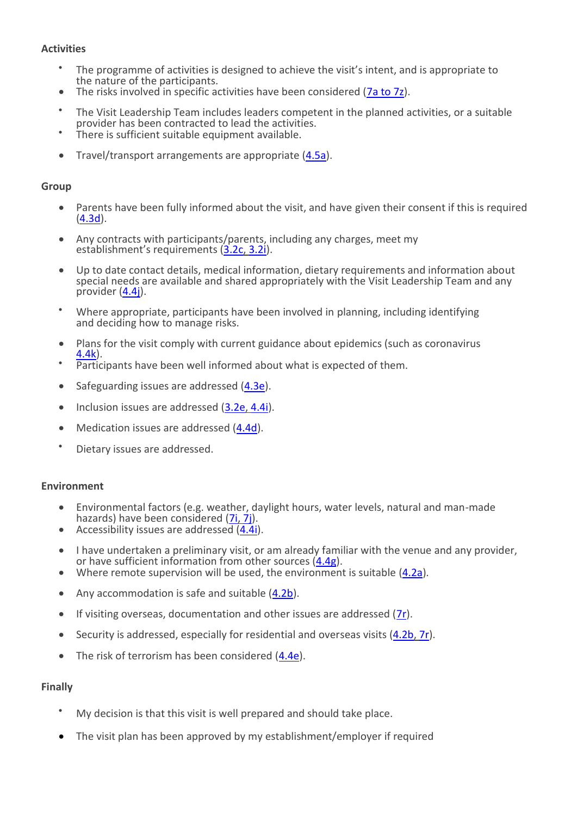# **Activities**

- The programme of activities is designed to achieve the visit's intent, and is appropriate to the nature of the participants.
- The risks involved in specific activities have been considered [\(7a to 7z\)](https://oeapng.info/downloads/specialist-activities-and-visits/).
- The Visit Leadership Team includes leaders competent in the planned activities, or a suitable provider has been contracted to lead the activities.
- There is sufficient suitable equipment available.
- Travel/transport arrangements are appropriate [\(4.5a\)](https://oeapng.info/downloads/download-info/4-5a-transport-general-considerations).

#### **Group**

- Parents have been fully informed about the visit, and have given their consent if this is required [\(4.3d\)](https://oeapng.info/downloads/download-info/4-3d-consent/).
- Any contracts with participants/parents, including any charges, meet my establishment's requirements ([3.2c,](https://oeapng.info/downloads/download-info/3-2c-charges-for-off-site-activity/) [3.2i\)](https://oeapng.info/downloads/download-info/3-2i-contracts-and-waivers/).
- Up to date contact details, medical information, dietary requirements and information about special needs are available and shared appropriately with the Visit Leadership Team and any provider [\(4.4j\)](https://oeapng.info/downloads/download-info/4-4j-participant-information/).
- Where appropriate, participants have been involved in planning, including identifying and deciding how to manage risks.
- Plans for the visit comply with current guidance about epidemics (such as coronavirus [4.4k\)](https://oeapng.info/downloads/download-info/4-4k-coronavirus/).
- Participants have been well informed about what is expected of them.
- Safeguarding issues are addressed [\(4.3e\)](https://oeapng.info/downloads/download-info/4-3e-safeguarding/).
- Inclusion issues are addressed [\(3.2e,](https://oeapng.info/downloads/download-info/3-2e-inclusion/) [4.4i\)](https://oeapng.info/downloads/download-info/4-4i-special-educational-needs-and-disability/).
- Medication issues are addressed [\(4.4d\)](https://oeapng.info/downloads/download-info/4-4d-medication).
- Dietary issues are addressed.

#### **Environment**

- Environmental factors (e.g. weather, daylight hours, water levels, natural and man-made hazards) have been considered [\(7i,](https://oeapng.info/downloads/download-info/7i-group-safety-at-water-margins) [7j\)](https://oeapng.info/downloads/download-info/7j-weather-and-group-safety/).
- Accessibility issues are addressed  $(4.4i)$ .
- I have undertaken a preliminary visit, or am already familiar with the venue and any provider, or have sufficient information from other sources [\(4.4g\)](https://oeapng.info/downloads/download-info/4-4g-selecting-external-providers-and-facilities/).
- Where remote supervision will be used, the environment is suitable [\(4.2a\)](https://oeapng.info/downloads/download-info/4-2a-group-management-and-supervision).
- Any accommodation is safe and suitable [\(4.2b\)](https://oeapng.info/downloads/download-info/4-2b-residentials/).
- If visiting overseas, documentation and other issues are addressed [\(7r\)](https://oeapng.info/downloads/download-info/7r-overseas-visits).
- Security is addressed, especially for residential and overseas visits [\(4.2b,](https://oeapng.info/downloads/download-info/4-2b-residentials/) [7r\)](https://oeapng.info/downloads/download-info/7r-overseas-visits).
- The risk of terrorism has been considered [\(4.4e\)](https://oeapng.info/downloads/download-info/4-4e-terrorism/).

#### **Finally**

- My decision is that this visit is well prepared and should take place.
- The visit plan has been approved by my establishment/employer if required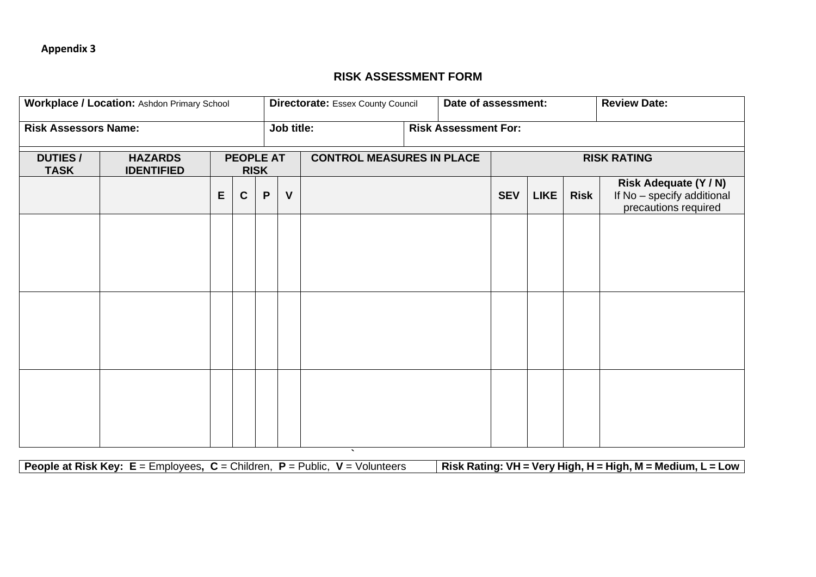# **RISK ASSESSMENT FORM**

| Workplace / Location: Ashdon Primary School |                                     |   |             | <b>Directorate: Essex County Council</b>                            |              |                    |  | Date of assessment: |            |             | <b>Review Date:</b> |                                                                             |
|---------------------------------------------|-------------------------------------|---|-------------|---------------------------------------------------------------------|--------------|--------------------|--|---------------------|------------|-------------|---------------------|-----------------------------------------------------------------------------|
| <b>Risk Assessors Name:</b>                 |                                     |   |             | Job title:<br><b>Risk Assessment For:</b>                           |              |                    |  |                     |            |             |                     |                                                                             |
| <b>DUTIES/</b><br><b>TASK</b>               | <b>HAZARDS</b><br><b>IDENTIFIED</b> |   |             | <b>PEOPLE AT</b><br><b>CONTROL MEASURES IN PLACE</b><br><b>RISK</b> |              | <b>RISK RATING</b> |  |                     |            |             |                     |                                                                             |
|                                             |                                     | E | $\mathbf c$ | $\boldsymbol{\mathsf{P}}$                                           | $\mathsf{V}$ |                    |  |                     | <b>SEV</b> | <b>LIKE</b> | <b>Risk</b>         | Risk Adequate (Y / N)<br>If No - specify additional<br>precautions required |
|                                             |                                     |   |             |                                                                     |              |                    |  |                     |            |             |                     |                                                                             |
|                                             |                                     |   |             |                                                                     |              |                    |  |                     |            |             |                     |                                                                             |
|                                             |                                     |   |             |                                                                     |              |                    |  |                     |            |             |                     |                                                                             |
|                                             |                                     |   |             |                                                                     |              |                    |  |                     |            |             |                     |                                                                             |
|                                             |                                     |   |             |                                                                     |              |                    |  |                     |            |             |                     |                                                                             |
|                                             |                                     |   |             |                                                                     |              |                    |  |                     |            |             |                     |                                                                             |

**People at Risk Key: E** = Employees**, C** = Children, **P** = Public, **V** = Volunteers **Risk Rating: VH = Very High, H = High, M = Medium, L = Low**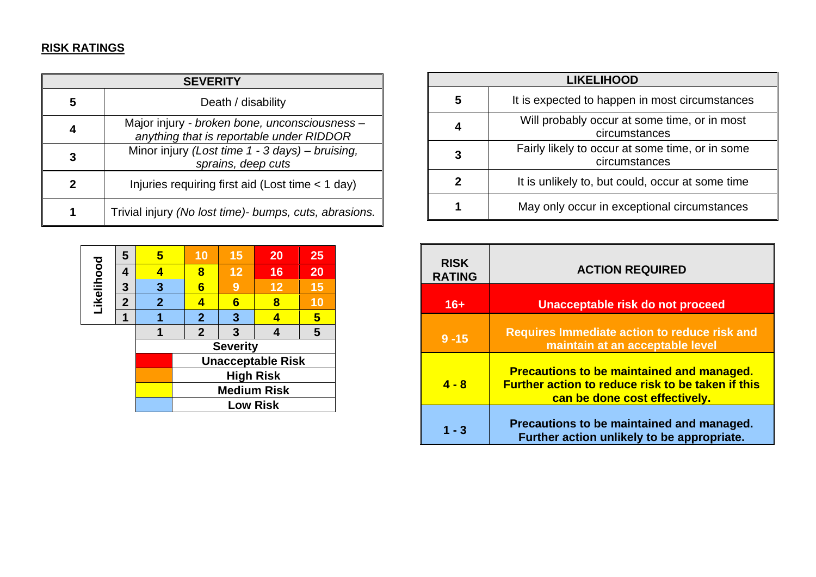# **RISK RATINGS**

| <b>SEVERITY</b> |                                                                                           |  |  |  |
|-----------------|-------------------------------------------------------------------------------------------|--|--|--|
| 5               | Death / disability                                                                        |  |  |  |
|                 | Major injury - broken bone, unconsciousness -<br>anything that is reportable under RIDDOR |  |  |  |
| З               | Minor injury (Lost time 1 - 3 days) - bruising,<br>sprains, deep cuts                     |  |  |  |
|                 | Injuries requiring first aid (Lost time < 1 day)                                          |  |  |  |
|                 | Trivial injury (No lost time) bumps, cuts, abrasions.                                     |  |  |  |

|            | 5              | 5                        | 10                 | 15 | 20 | 25 |  |  |
|------------|----------------|--------------------------|--------------------|----|----|----|--|--|
| Likelihood | 4              | 4                        | 8                  | 12 | 16 | 20 |  |  |
|            | 3              | 3                        | 6                  | 9  | 12 | 15 |  |  |
|            | $\overline{2}$ | $\overline{2}$           |                    | 6  | 8  | 10 |  |  |
|            |                |                          | $\mathbf{2}$       | 3  |    | 5  |  |  |
|            |                |                          | $\overline{2}$     | 3  |    | 5  |  |  |
|            |                | <b>Severity</b>          |                    |    |    |    |  |  |
|            |                | <b>Unacceptable Risk</b> |                    |    |    |    |  |  |
|            |                |                          | <b>High Risk</b>   |    |    |    |  |  |
|            |                |                          | <b>Medium Risk</b> |    |    |    |  |  |
|            |                |                          | <b>Low Risk</b>    |    |    |    |  |  |

| <b>LIKELIHOOD</b> |                                                                  |  |  |  |
|-------------------|------------------------------------------------------------------|--|--|--|
| 5                 | It is expected to happen in most circumstances                   |  |  |  |
|                   | Will probably occur at some time, or in most<br>circumstances    |  |  |  |
| 3                 | Fairly likely to occur at some time, or in some<br>circumstances |  |  |  |
| 2                 | It is unlikely to, but could, occur at some time                 |  |  |  |
|                   | May only occur in exceptional circumstances                      |  |  |  |

| <b>RISK</b><br><b>RATING</b> | <b>ACTION REQUIRED</b>                                                                                                                        |
|------------------------------|-----------------------------------------------------------------------------------------------------------------------------------------------|
| $16+$                        | Unacceptable risk do not proceed                                                                                                              |
| $9 - 15$                     | <b>Requires Immediate action to reduce risk and</b><br>maintain at an acceptable level                                                        |
| $4 - 8$                      | <b>Precautions to be maintained and managed.</b><br><b>Further action to reduce risk to be taken if this</b><br>can be done cost effectively. |
| 1 - 3                        | Precautions to be maintained and managed.<br>Further action unlikely to be appropriate.                                                       |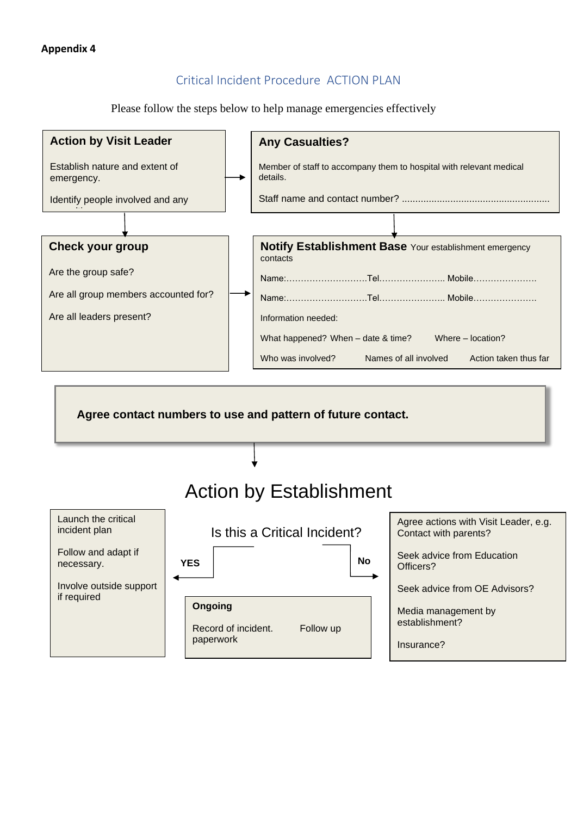# Critical Incident Procedure ACTION PLAN

Please follow the steps below to help manage emergencies effectively